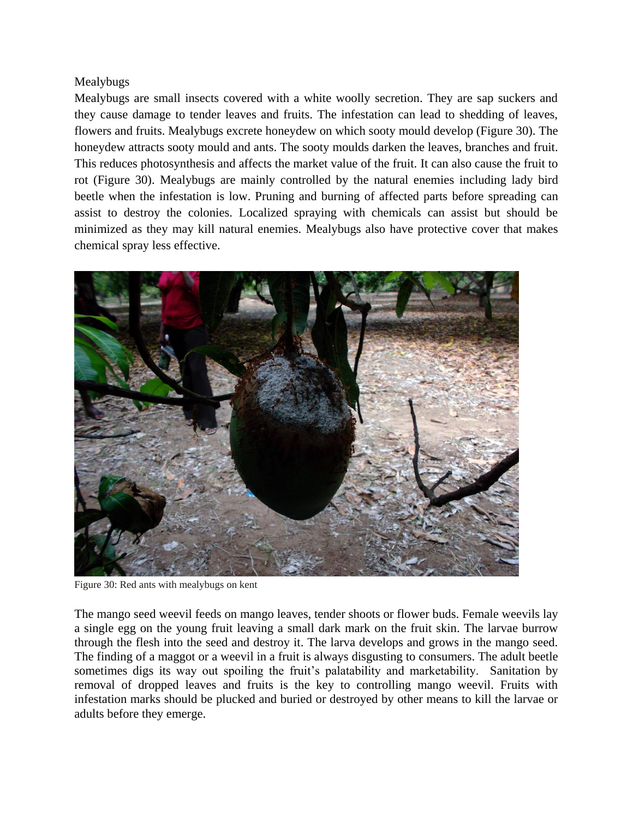## Mealybugs

Mealybugs are small insects covered with a white woolly secretion. They are sap suckers and they cause damage to tender leaves and fruits. The infestation can lead to shedding of leaves, flowers and fruits. Mealybugs excrete honeydew on which sooty mould develop (Figure 30). The honeydew attracts sooty mould and ants. The sooty moulds darken the leaves, branches and fruit. This reduces photosynthesis and affects the market value of the fruit. It can also cause the fruit to rot (Figure 30). Mealybugs are mainly controlled by the natural enemies including lady bird beetle when the infestation is low. Pruning and burning of affected parts before spreading can assist to destroy the colonies. Localized spraying with chemicals can assist but should be minimized as they may kill natural enemies. Mealybugs also have protective cover that makes chemical spray less effective.



Figure 30: Red ants with mealybugs on kent

The mango seed weevil feeds on mango leaves, tender shoots or flower buds. Female weevils lay a single egg on the young fruit leaving a small dark mark on the fruit skin. The larvae burrow through the flesh into the seed and destroy it. The larva develops and grows in the mango seed. The finding of a maggot or a weevil in a fruit is always disgusting to consumers. The adult beetle sometimes digs its way out spoiling the fruit's palatability and marketability. Sanitation by removal of dropped leaves and fruits is the key to controlling mango weevil. Fruits with infestation marks should be plucked and buried or destroyed by other means to kill the larvae or adults before they emerge.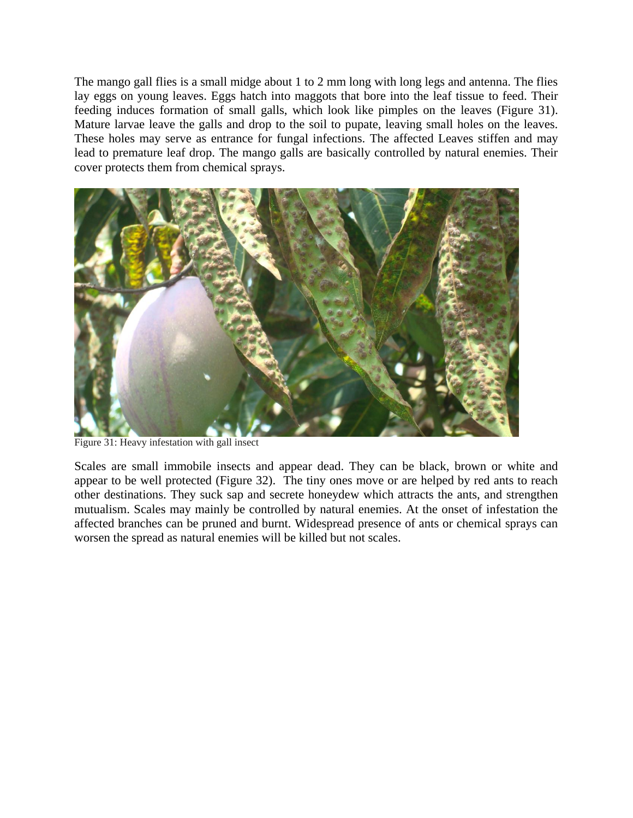The mango gall flies is a small midge about 1 to 2 mm long with long legs and antenna. The flies lay eggs on young leaves. Eggs hatch into maggots that bore into the leaf tissue to feed. Their feeding induces formation of small galls, which look like pimples on the leaves (Figure 31). Mature larvae leave the galls and drop to the soil to pupate, leaving small holes on the leaves. These holes may serve as entrance for fungal infections. The affected Leaves stiffen and may lead to premature leaf drop. The mango galls are basically controlled by natural enemies. Their cover protects them from chemical sprays.



Figure 31: Heavy infestation with gall insect

Scales are small immobile insects and appear dead. They can be black, brown or white and appear to be well protected (Figure 32). The tiny ones move or are helped by red ants to reach other destinations. They suck sap and secrete honeydew which attracts the ants, and strengthen mutualism. Scales may mainly be controlled by natural enemies. At the onset of infestation the affected branches can be pruned and burnt. Widespread presence of ants or chemical sprays can worsen the spread as natural enemies will be killed but not scales.